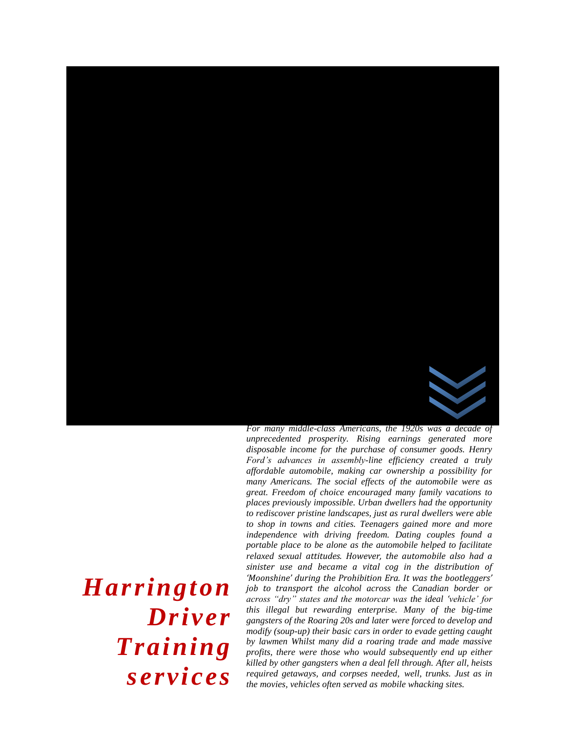

*unprecedented prosperity. Rising earnings generated more disposable income for the purchase of consumer goods. Henry Ford's advances in assembly-line efficiency created a truly affordable automobile, making car ownership a possibility for many Americans. The social effects of the automobile were as great. Freedom of choice encouraged many family vacations to places previously impossible. Urban dwellers had the opportunity to rediscover pristine landscapes, just as rural dwellers were able to shop in towns and cities. Teenagers gained more and more independence with driving freedom. Dating couples found a portable place to be alone as the automobile helped to facilitate relaxed sexual attitudes. However, the automobile also had a sinister use and became a vital cog in the distribution of 'Moonshine' during the Prohibition Era. It was the bootleggers' job to transport the alcohol across the Canadian border or across "dry" states and the motorcar was the ideal 'vehicle' for this illegal but rewarding enterprise. Many of the big-time gangsters of the Roaring 20s and later were forced to develop and modify (soup-up) their basic cars in order to evade getting caught by lawmen Whilst many did a roaring trade and made massive profits, there were those who would subsequently end up either killed by other gangsters when a deal fell through. After all, heists required getaways, and corpses needed, well, trunks. Just as in the movies, vehicles often served as mobile whacking sites.*

# *Harrington Driver Training services*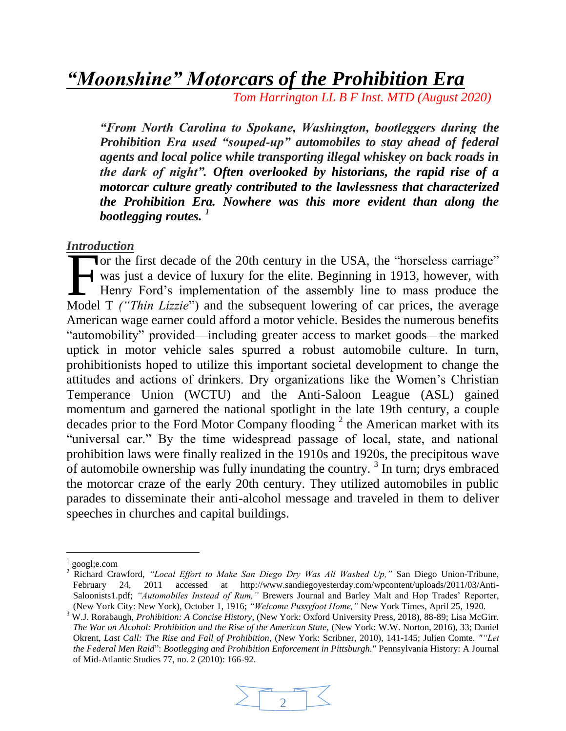*"Moonshine" Motorcars of the Prohibition Era*

*Tom Harrington LL B F Inst. MTD (August 2020)*

*"From North Carolina to Spokane, Washington, bootleggers during the Prohibition Era used "souped-up" automobiles to stay ahead of federal agents and local police while transporting illegal whiskey on back roads in the dark of night". Often overlooked by historians, the rapid rise of a motorcar culture greatly contributed to the lawlessness that characterized the Prohibition Era. Nowhere was this more evident than along the bootlegging routes. <sup>1</sup>*

#### *Introduction*

Tor the first decade of the 20th century in the USA, the "horseless carriage" was just a device of luxury for the elite. Beginning in 1913, however, with Henry Ford's implementation of the assembly line to mass produce the The first decade of the 20th century in the USA, the "horseless carriage" was just a device of luxury for the elite. Beginning in 1913, however, with Henry Ford's implementation of the assembly line to mass produce the Mod American wage earner could afford a motor vehicle. Besides the numerous benefits "automobility" provided—including greater access to market goods—the marked uptick in motor vehicle sales spurred a robust automobile culture. In turn, prohibitionists hoped to utilize this important societal development to change the attitudes and actions of drinkers. Dry organizations like the Women's Christian Temperance Union (WCTU) and the Anti-Saloon League (ASL) gained momentum and garnered the national spotlight in the late 19th century, a couple decades prior to the Ford Motor Company flooding  $2$  the American market with its "universal car." By the time widespread passage of local, state, and national prohibition laws were finally realized in the 1910s and 1920s, the precipitous wave of automobile ownership was fully inundating the country.<sup>3</sup> In turn; drys embraced the motorcar craze of the early 20th century. They utilized automobiles in public parades to disseminate their anti-alcohol message and traveled in them to deliver speeches in churches and capital buildings.

l

<sup>&</sup>lt;sup>3</sup> W.J. Rorabaugh, *Prohibition: A Concise History*, (New York: Oxford University Press, 2018), 88-89; Lisa McGirr. *The War on Alcohol: Prohibition and the Rise of the American State,* (New York: W.W. Norton, 2016), 33; Daniel Okrent, *Last Call: The Rise and Fall of Prohibition*, (New York: Scribner, 2010), 141-145; Julien Comte. *""Let the Federal Men Raid*": *Bootlegging and Prohibition Enforcement in Pittsburgh."* Pennsylvania History: A Journal of Mid-Atlantic Studies 77, no. 2 (2010): 166-92.



<sup>1</sup> googl;e.com

<sup>2</sup> Richard Crawford, *"Local Effort to Make San Diego Dry Was All Washed Up,"* San Diego Union-Tribune, February 24, 2011 accessed at http://www.sandiegoyesterday.com/wpcontent/uploads/2011/03/Anti-Saloonists1.pdf; *"Automobiles Instead of Rum,"* Brewers Journal and Barley Malt and Hop Trades' Reporter, (New York City: New York), October 1, 1916; *"Welcome Pussyfoot Home,"* New York Times, April 25, 1920.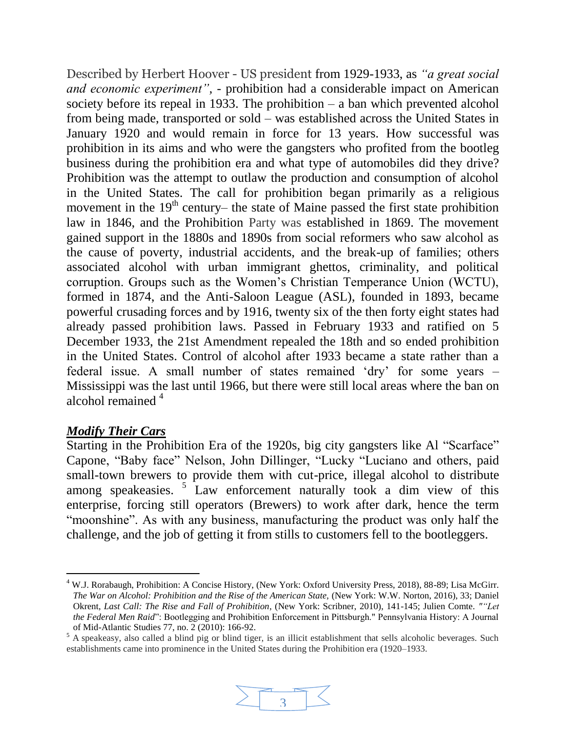Described by Herbert Hoover - US president from 1929-1933, as *"a great social and economic experiment",* - prohibition had a considerable impact on American society before its repeal in 1933. The prohibition  $-$  a ban which prevented alcohol from being made, transported or sold – was established across the United States in January 1920 and would remain in force for 13 years. How successful was prohibition in its aims and who were the gangsters who profited from the bootleg business during the prohibition era and what type of automobiles did they drive? Prohibition was the attempt to outlaw the production and consumption of alcohol in the United States. The call for prohibition began primarily as a religious movement in the  $19<sup>th</sup>$  century– the state of Maine passed the first state prohibition law in 1846, and the Prohibition Party was established in 1869. The movement gained support in the 1880s and 1890s from social reformers who saw alcohol as the cause of poverty, industrial accidents, and the break-up of families; others associated alcohol with urban immigrant ghettos, criminality, and political corruption. Groups such as the Women's Christian Temperance Union (WCTU), formed in 1874, and the Anti-Saloon League (ASL), founded in 1893, became powerful crusading forces and by 1916, twenty six of the then forty eight states had already passed prohibition laws. Passed in February 1933 and ratified on 5 December 1933, the 21st Amendment repealed the 18th and so ended prohibition in the United States. Control of alcohol after 1933 became a state rather than a federal issue. A small number of states remained 'dry' for some years – Mississippi was the last until 1966, but there were still local areas where the ban on alcohol remained  $4$ 

### *Modify Their Cars*

Starting in the Prohibition Era of the 1920s, big city gangsters like Al "Scarface" Capone, "Baby face" Nelson, John Dillinger, "Lucky "Luciano and others, paid small-town brewers to provide them with cut-price, illegal alcohol to distribute among speakeasies. <sup>5</sup> Law enforcement naturally took a dim view of this enterprise, forcing still operators (Brewers) to work after dark, hence the term "moonshine". As with any business, manufacturing the product was only half the challenge, and the job of getting it from stills to customers fell to the bootleggers.

 $5$  A speakeasy, also called a blind pig or blind tiger, is an illicit establishment that sells alcoholic beverages. Such establishments came into prominence in the United States during the Prohibition era (1920–1933.



l <sup>4</sup> W.J. Rorabaugh, Prohibition: A Concise History, (New York: Oxford University Press, 2018), 88-89; Lisa McGirr. *The War on Alcohol: Prohibition and the Rise of the American State,* (New York: W.W. Norton, 2016), 33; Daniel Okrent, *Last Call: The Rise and Fall of Prohibition*, (New York: Scribner, 2010), 141-145; Julien Comte. *""Let the Federal Men Raid*": Bootlegging and Prohibition Enforcement in Pittsburgh." Pennsylvania History: A Journal of Mid-Atlantic Studies 77, no. 2 (2010): 166-92.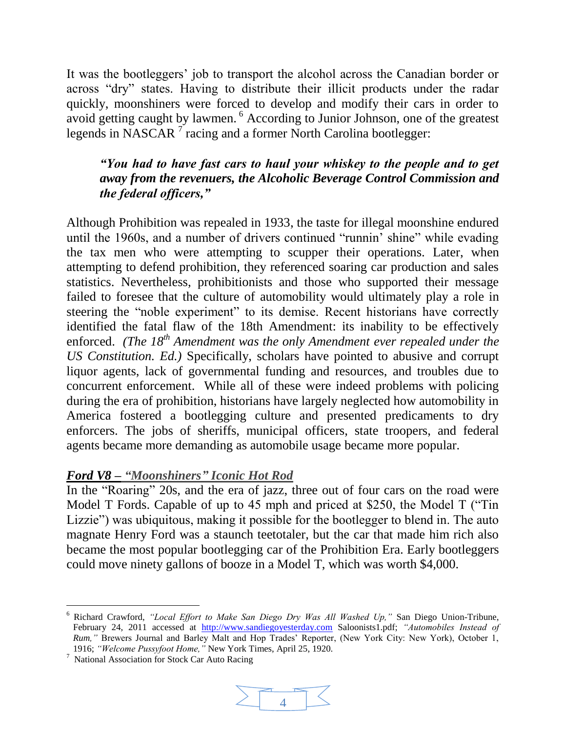It was the bootleggers' job to transport the alcohol across the Canadian border or across "dry" states. Having to distribute their illicit products under the radar quickly, moonshiners were forced to develop and modify their cars in order to avoid getting caught by lawmen. <sup>6</sup> According to Junior Johnson, one of the greatest legends in NASCAR<sup>7</sup> racing and a former North Carolina bootlegger:

# *"You had to have fast cars to haul your whiskey to the people and to get away from the revenuers, the Alcoholic Beverage Control Commission and the federal officers,"*

Although Prohibition was repealed in 1933, the taste for illegal moonshine endured until the 1960s, and a number of drivers continued "runnin' shine" while evading the tax men who were attempting to scupper their operations. Later, when attempting to defend prohibition, they referenced soaring car production and sales statistics. Nevertheless, prohibitionists and those who supported their message failed to foresee that the culture of automobility would ultimately play a role in steering the "noble experiment" to its demise. Recent historians have correctly identified the fatal flaw of the 18th Amendment: its inability to be effectively enforced. *(The 18th Amendment was the only Amendment ever repealed under the US Constitution. Ed.)* Specifically, scholars have pointed to abusive and corrupt liquor agents, lack of governmental funding and resources, and troubles due to concurrent enforcement. While all of these were indeed problems with policing during the era of prohibition, historians have largely neglected how automobility in America fostered a bootlegging culture and presented predicaments to dry enforcers. The jobs of sheriffs, municipal officers, state troopers, and federal agents became more demanding as automobile usage became more popular.

# *Ford V8 – "Moonshiners" Iconic Hot Rod*

In the "Roaring" 20s, and the era of jazz, three out of four cars on the road were Model T Fords. Capable of up to 45 mph and priced at \$250, the Model T ("Tin Lizzie") was ubiquitous, making it possible for the bootlegger to blend in. The auto magnate Henry Ford was a staunch teetotaler, but the car that made him rich also became the most popular bootlegging car of the Prohibition Era. Early bootleggers could move ninety gallons of booze in a Model T, which was worth \$4,000.

l



<sup>6</sup> Richard Crawford, *"Local Effort to Make San Diego Dry Was All Washed Up,"* San Diego Union-Tribune, February 24, 2011 accessed at [http://www.sandiegoyesterday.com](http://www.sandiegoyesterday.com/) Saloonists1.pdf; *"Automobiles Instead of Rum,"* Brewers Journal and Barley Malt and Hop Trades' Reporter, (New York City: New York), October 1, 1916; *"Welcome Pussyfoot Home,"* New York Times, April 25, 1920.

<sup>7</sup> National Association for Stock Car Auto Racing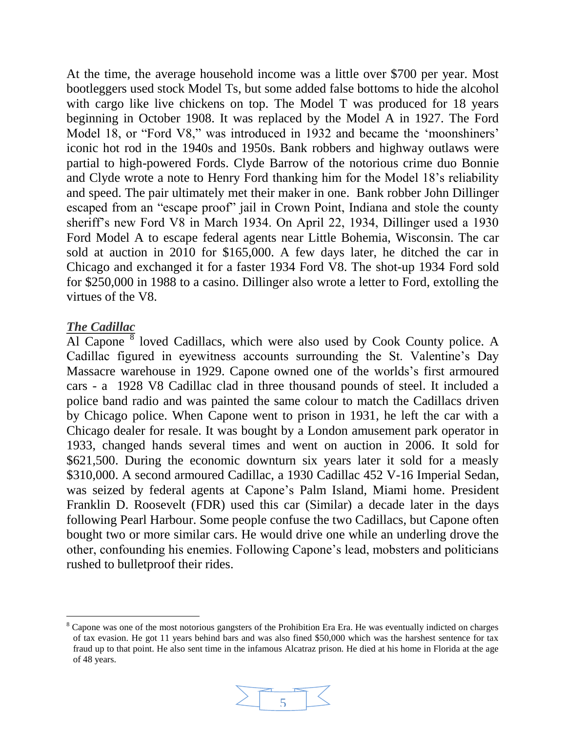At the time, the average household income was a little over \$700 per year. Most bootleggers used stock Model Ts, but some added false bottoms to hide the alcohol with cargo like live chickens on top. The Model T was produced for 18 years beginning in October 1908. It was replaced by the Model A in 1927. The Ford Model 18, or "Ford V8," was introduced in 1932 and became the 'moonshiners' iconic hot rod in the 1940s and 1950s. Bank robbers and highway outlaws were partial to high-powered Fords. [Clyde Barrow](http://en.wikipedia.org/wiki/Bonnie_and_Clyde) of the notorious crime duo Bonnie and Clyde [wrote a note to Henry Ford](http://www.lettersofnote.com/2009/12/what-dandy-car-you-make.html) thanking him for the Model 18's reliability and speed. The pair ultimately met their maker in one. Bank robber John Dillinger escaped from an "escape proof" jail in Crown Point, Indiana and stole the county sheriff's new Ford V8 in March 1934. On April 22, 1934, Dillinger used a 1930 Ford Model A to escape federal agents near Little Bohemia, Wisconsin. The car sold at auction in 2010 for \$165,000. A few days later, he ditched the car in Chicago and exchanged it for a faster 1934 Ford V8. The [shot-up 1934 Ford](http://texashideout.tripod.com/warrencar.html) sold for \$250,000 in 1988 to a casino. Dillinger also wrote a letter to Ford, extolling the virtues of the V8.

### *The Cadillac*

l

Al Capone  $\overline{8}$  loved [Cadillacs,](http://www.cadillac.com/) which were also used by Cook County police. A Cadillac figured in eyewitness accounts surrounding the St. Valentine's Day Massacre warehouse in 1929. Capone owned one of the worlds's first armoured cars - a 1928 [V8 Cadillac](http://www.fivefamiliesnyc.com/2012/07/al-capones-famous-cadillac-complete.html) clad in three thousand pounds of steel. It included a police band radio and was painted the same colour to match the Cadillacs driven by Chicago police. When Capone went to prison in 1931, he left the car with a Chicago dealer for resale. It was bought by a London amusement park operator in 1933, changed hands several times and [went on auction](http://www.rmauctions.com/CarDetails.cfm?SaleCode=az06&CarID=r159) in 2006. It sold for \$621,500. During the economic downturn six years later it sold for a measly \$310,000. A second armoured Cadillac, a 1930 Cadillac 452 V-16 Imperial Sedan, was seized by federal agents at Capone's [Palm Island, Miami](http://maps.google.com/maps?ll=25.779979,-80.162344&spn=1.0,1.0&q=25.779979,-80.162344%20(Palm%20Island%20%28Miami%20Beach%29)&t=h) home. President Franklin D. Roosevelt (FDR) used this car (Similar) a decade later in the days following Pearl Harbour. Some people confuse the two Cadillacs, but Capone often bought two or more similar cars. He would drive one while an underling drove the other, confounding his enemies. Following Capone's lead, mobsters and politicians rushed to bulletproof their rides.

<sup>&</sup>lt;sup>8</sup> Capone was one of the most notorious gangsters of the Prohibition Era Era. He was eventually indicted on charges of tax evasion. He got 11 years behind bars and was also fined \$50,000 which was the harshest sentence for tax fraud up to that point. He also sent time in the infamous Alcatraz prison. He died at his home in Florida at the age of 48 years.

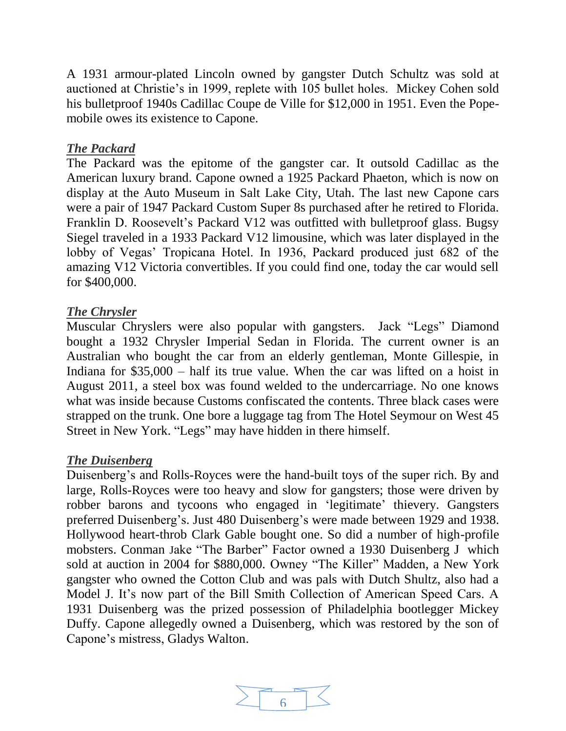A [1931 armour-plated Lincoln](http://www.youtube.com/watch?v=WLB5S8GSRX0) owned by gangster Dutch Schultz was sold at auctioned at Christie's in 1999, replete with 105 bullet holes. Mickey Cohen sold his bulletproof [1940s Cadillac Coupe de Ville](http://www.pulpinternational.com/pulp/entry/Photos-of-the-bulletproof-Cadillac-coupe-owned-gangster-Mickey-Cohen.html) for \$12,000 in 1951. Even the Popemobile owes its existence to Capone.

# *The Packard*

The [Packard](http://www.supercars.net/cars/1423.html) was the epitome of the gangster car. It outsold Cadillac as the American luxury brand. Capone owned a 1925 Packard Phaeton, which is now on display at the Auto Museum in [Salt Lake City, Utah.](http://maps.google.com/maps?ll=40.75,-111.883333333&spn=0.1,0.1&q=40.75,-111.883333333%20(Salt%20Lake%20City)&t=h) The last new Capone cars were a pair of 1947 Packard Custom Super 8s purchased after he retired to Florida. Franklin D. Roosevelt's Packard V12 was outfitted with bulletproof glass. Bugsy Siegel traveled in a 1933 Packard V12 limousine, which was later displayed in the lobby of Vegas' Tropicana Hotel. In 1936, Packard produced just 682 of the amazing V12 Victoria convertibles. If you could find one, today the car would sell for \$400,000.

### *The Chrysler*

Muscular Chryslers were also popular with gangsters. [Jack "Legs"](http://en.wikipedia.org/wiki/Jack_Diamond_%28gangster%29) Diamond bought a 1932 Chrysler Imperial Sedan in Florida. The current owner is an Australian who bought the car from an elderly gentleman, Monte Gillespie, in Indiana for \$35,000 – half its true value. When the car was lifted on a hoist in August 2011, a steel box was found welded to the undercarriage. No one knows what was inside because Customs confiscated the contents. Three black cases were strapped on the trunk. One bore a luggage tag from The Hotel Seymour on West 45 Street in [New York.](http://maps.google.com/maps?ll=40.7166666667,-74.0&spn=0.1,0.1&q=40.7166666667,-74.0%20(New%20York%20City)&t=h) "Legs" may have hidden in there himself.

### *The Duisenberg*

Duisenberg's and Rolls-Royces were the hand-built toys of the super rich. By and large, Rolls-Royces were too heavy and slow for gangsters; those were driven by robber barons and tycoons who engaged in 'legitimate' thievery. Gangsters preferred Duisenberg's. Just 480 [Duisenberg's](http://en.wikipedia.org/wiki/Duesenberg) were made between 1929 and 1938. Hollywood heart-throb Clark Gable bought one. So did a number of high-profile mobsters. Conman J[ake "The Barber" Factor](http://en.wikipedia.org/wiki/John_Factor) owned [a 1930 Duisenberg](http://jalopnik.com/119541/mobsters-duesenberg-j-fetches-880000-at-auction) J which sold at auction in 2004 for \$880,000. [Owney "The Killer" Madden,](http://en.wikipedia.org/wiki/Owney_Madden) a New York gangster who owned the Cotton Club and was pals with Dutch Shultz, also had a [Model J.](http://journalstar.com/news/state-and-regional/nebraska/article_18fbe549-e24e-53fe-9e00-28fef1444e35.html) It's now part of the Bill Smith Collection of American Speed Cars. A [1931 Duisenberg](http://www.phillyneighbors.com/PhillyGangsters/index.htm) was the prized possession of Philadelphia bootlegger Mickey Duffy. Capone allegedly owned a Duisenberg, which was restored by the son of Capone's mistress, [Gladys Walton.](http://www.beverlyhillssheet.com/acrobat/sept_06.pdf)

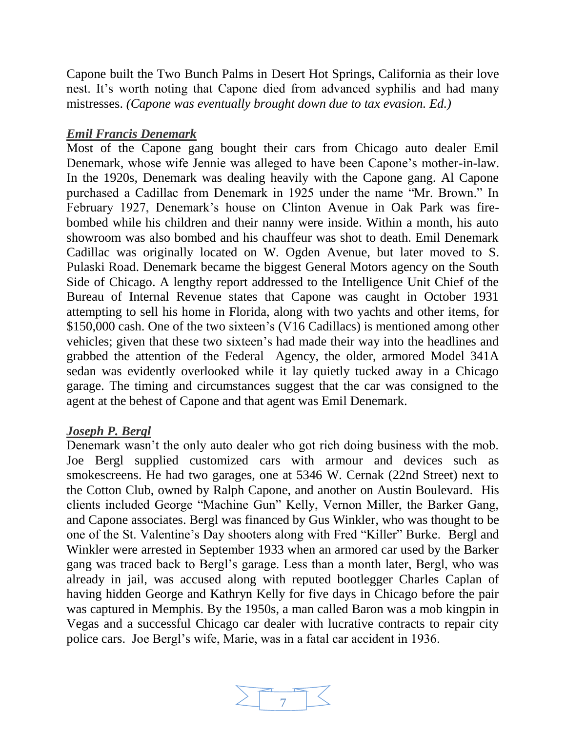Capone built the Two Bunch Palms in [Desert Hot Springs, California](http://maps.google.com/maps?ll=33.9611111111,-116.508055556&spn=0.1,0.1&q=33.9611111111,-116.508055556%20(Desert%20Hot%20Springs%2C%20California)&t=h) as their love nest. It's worth noting that Capone died from advanced syphilis and had many mistresses. *(Capone was eventually brought down due to tax evasion. Ed.)*

# *Emil Francis Denemark*

Most of the Capone gang bought their cars from Chicago auto dealer Emil Denemark, whose wife Jennie was alleged to have been Capone's mother-in-law. In the 1920s, Denemark was dealing heavily with the Capone gang. Al Capone purchased a Cadillac from Denemark in 1925 under the name "Mr. Brown." In February 1927, Denemark's house on Clinton Avenue in Oak Park was firebombed while his children and their nanny were inside. Within a month, his auto showroom was also bombed and his chauffeur was shot to death. Emil Denemark Cadillac was originally located on W. Ogden Avenue, but later moved to S. Pulaski Road. Denemark became the biggest General Motors agency on the South Side of Chicago. A lengthy report addressed to the Intelligence Unit Chief of the Bureau of Internal Revenue states that Capone was caught in October 1931 attempting to sell his home in Florida, along with two yachts and other items, for \$150,000 cash. One of the two sixteen's (V16 Cadillacs) is mentioned among other vehicles; given that these two sixteen's had made their way into the headlines and grabbed the attention of the Federal Agency, the older, armored Model 341A sedan was evidently overlooked while it lay quietly tucked away in a Chicago garage. The timing and circumstances suggest that the car was consigned to the agent at the behest of Capone and that agent was Emil Denemark.

### *Joseph P. Bergl*

Denemark wasn't the only auto dealer who got rich doing business with the mob. Joe Bergl supplied customized cars with armour and devices such as smokescreens. He had two garages, one at 5346 W. Cernak (22nd Street) next to the Cotton Club, owned by Ralph Capone, and another on Austin Boulevard. His clients included George "Machine Gun" Kelly, Vernon Miller, the Barker Gang, and Capone associates. Bergl was financed by Gus Winkler, who was thought to be one of the St. Valentine's Day shooters along with Fred "Killer" Burke. Bergl and Winkler were arrested in September 1933 when an armored car used by the Barker gang was traced back to Bergl's garage. Less than a month later, Bergl, who was already in jail, was accused along with reputed bootlegger Charles Caplan of having hidden George and Kathryn Kelly for five days in Chicago before the pair was captured in Memphis. By the 1950s, a man called Baron was a mob kingpin in Vegas and a successful Chicago car dealer with lucrative contracts to repair city police cars. Joe Bergl's wife, Marie, was in a fatal car accident in 1936.

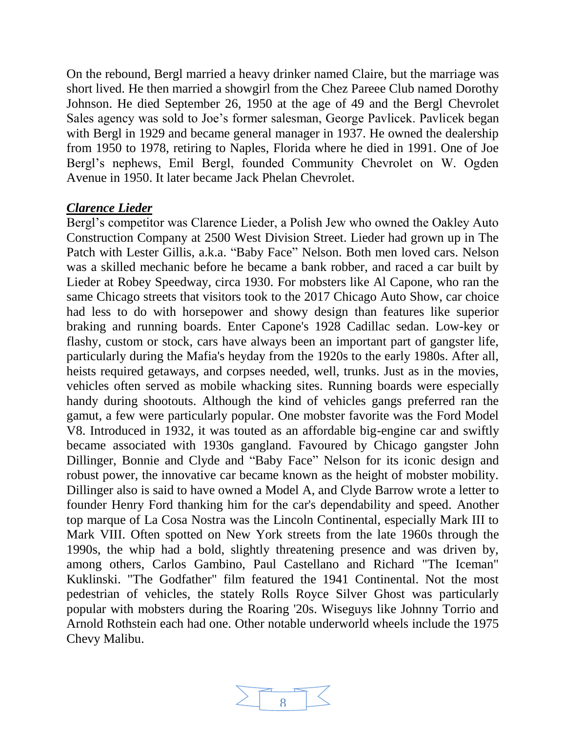On the rebound, Bergl married a heavy drinker named Claire, but the marriage was short lived. He then married a showgirl from the Chez Pareee Club named Dorothy Johnson. He died September 26, 1950 at the age of 49 and the Bergl Chevrolet Sales agency was sold to Joe's former salesman, George Pavlicek. Pavlicek began with Bergl in 1929 and became general manager in 1937. He owned the dealership from 1950 to 1978, retiring to Naples, Florida where he died in 1991. One of Joe Bergl's nephews, Emil Bergl, founded Community Chevrolet on W. Ogden Avenue in 1950. It later became Jack Phelan Chevrolet.

#### *Clarence Lieder*

Bergl's competitor was Clarence Lieder, a Polish Jew who owned the Oakley Auto Construction Company at 2500 West Division Street. Lieder had grown up in The Patch with Lester Gillis, a.k.a. "Baby Face" Nelson. Both men loved cars. Nelson was a skilled mechanic before he became a bank robber, and raced a car built by Lieder at Robey Speedway, circa 1930. For mobsters like Al Capone, who ran the same Chicago streets that visitors took to the 2017 Chicago Auto Show, car choice had less to do with horsepower and showy design than features like superior braking and running boards. Enter Capone's 1928 Cadillac sedan. Low-key or flashy, custom or stock, cars have always been an important part of gangster life, particularly during the Mafia's heyday from the 1920s to the early 1980s. After all, heists required getaways, and corpses needed, well, trunks. Just as in the movies, vehicles often served as mobile whacking sites. Running boards were especially handy during shootouts. Although the kind of vehicles gangs preferred ran the gamut, a few were particularly popular. One mobster favorite was the Ford Model V8. Introduced in 1932, it was touted as an affordable big-engine car and swiftly became associated with 1930s gangland. Favoured by Chicago gangster John Dillinger, Bonnie and Clyde and "Baby Face" Nelson for its iconic design and robust power, the innovative car became known as the height of mobster mobility. Dillinger also is said to have owned a Model A, and Clyde Barrow wrote a letter to founder Henry Ford thanking him for the car's dependability and speed. Another top marque of La Cosa Nostra was the Lincoln Continental, especially Mark III to Mark VIII. Often spotted on New York streets from the late 1960s through the 1990s, the whip had a bold, slightly threatening presence and was driven by, among others, Carlos Gambino, Paul Castellano and Richard "The Iceman" Kuklinski. "The Godfather" film featured the 1941 Continental. Not the most pedestrian of vehicles, the stately Rolls Royce Silver Ghost was particularly popular with mobsters during the Roaring '20s. Wiseguys like Johnny Torrio and Arnold Rothstein each had one. Other notable underworld wheels include the 1975 Chevy Malibu.

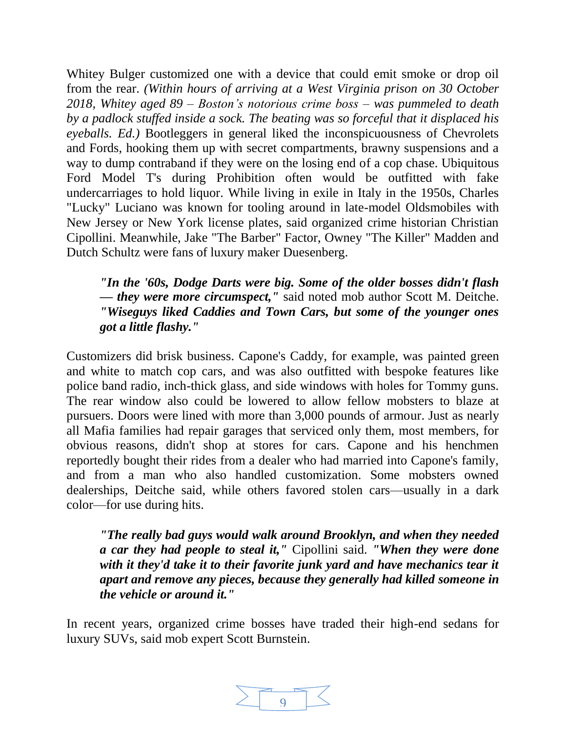Whitey Bulger customized one with a device that could emit smoke or drop oil from the rear. *(Within hours of arriving at a West Virginia prison on 30 October 2018, Whitey aged 89 – Boston's notorious crime boss – was pummeled to death by a padlock stuffed inside a sock. The beating was so forceful that it displaced his eyeballs. Ed.)* Bootleggers in general liked the inconspicuousness of Chevrolets and Fords, hooking them up with secret compartments, brawny suspensions and a way to dump contraband if they were on the losing end of a cop chase. Ubiquitous Ford Model T's during Prohibition often would be outfitted with fake undercarriages to hold liquor. While living in exile in Italy in the 1950s, Charles "Lucky" Luciano was known for tooling around in late-model Oldsmobiles with New Jersey or New York license plates, said organized crime historian Christian Cipollini. Meanwhile, Jake "The Barber" Factor, Owney "The Killer" Madden and Dutch Schultz were fans of luxury maker Duesenberg.

# *"In the '60s, Dodge Darts were big. Some of the older bosses didn't flash — they were more circumspect,"* said noted mob author Scott M. Deitche. *"Wiseguys liked Caddies and Town Cars, but some of the younger ones got a little flashy."*

Customizers did brisk business. Capone's Caddy, for example, was painted green and white to match cop cars, and was also outfitted with bespoke features like police band radio, inch-thick glass, and side windows with holes for Tommy guns. The rear window also could be lowered to allow fellow mobsters to blaze at pursuers. Doors were lined with more than 3,000 pounds of armour. Just as nearly all Mafia families had repair garages that serviced only them, most members, for obvious reasons, didn't shop at stores for cars. Capone and his henchmen reportedly bought their rides from a dealer who had married into Capone's family, and from a man who also handled customization. Some mobsters owned dealerships, Deitche said, while others favored stolen cars—usually in a dark color—for use during hits.

*"The really bad guys would walk around Brooklyn, and when they needed a car they had people to steal it,"* Cipollini said. *"When they were done with it they'd take it to their favorite junk yard and have mechanics tear it apart and remove any pieces, because they generally had killed someone in the vehicle or around it."*

In recent years, organized crime bosses have traded their high-end sedans for luxury SUVs, said mob expert Scott Burnstein.

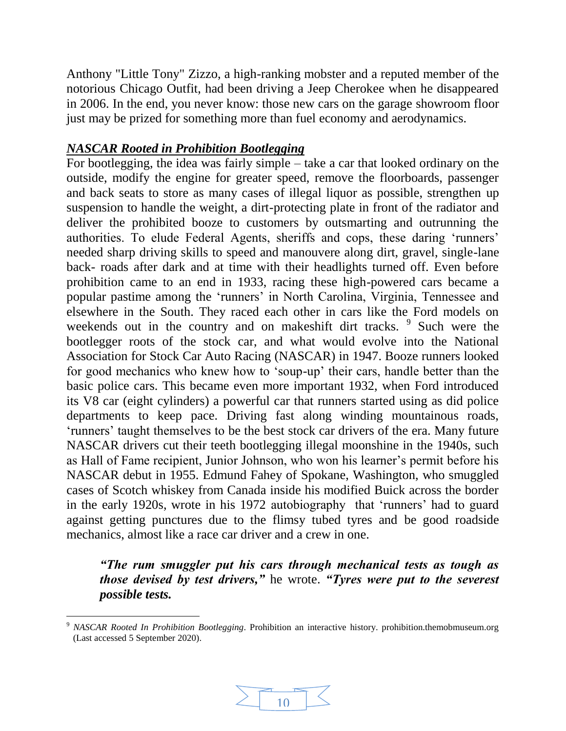Anthony "Little Tony" Zizzo, a high-ranking mobster and a reputed member of the notorious Chicago Outfit, had been driving a Jeep Cherokee when he disappeared in 2006. In the end, you never know: those new cars on the garage showroom floor just may be prized for something more than fuel economy and aerodynamics.

# *NASCAR Rooted in Prohibition Bootlegging*

l

For bootlegging, the idea was fairly simple – take a car that looked ordinary on the outside, modify the engine for greater speed, remove the floorboards, passenger and back seats to store as many cases of illegal liquor as possible, strengthen up suspension to handle the weight, a dirt-protecting plate in front of the radiator and deliver the prohibited booze to customers by outsmarting and outrunning the authorities. To elude Federal Agents, sheriffs and cops, these daring 'runners' needed sharp driving skills to speed and manouvere along dirt, gravel, single-lane back- roads after dark and at time with their headlights turned off. Even before prohibition came to an end in 1933, racing these high-powered cars became a popular pastime among the 'runners' in North Carolina, Virginia, Tennessee and elsewhere in the South. They raced each other in cars like the Ford models on weekends out in the country and on makeshift dirt tracks. <sup>9</sup> Such were the bootlegger roots of the stock car, and what would evolve into the National Association for Stock Car Auto Racing (NASCAR) in 1947. Booze runners looked for good mechanics who knew how to 'soup-up' their cars, handle better than the basic police cars. This became even more important 1932, when Ford introduced its V8 car (eight cylinders) a powerful car that runners started using as did police departments to keep pace. Driving fast along winding mountainous roads, 'runners' taught themselves to be the best stock car drivers of the era. Many future NASCAR drivers cut their teeth bootlegging illegal moonshine in the 1940s, such as Hall of Fame recipient, Junior Johnson, who won his learner's permit before his NASCAR debut in 1955. Edmund Fahey of Spokane, Washington, who smuggled cases of Scotch whiskey from Canada inside his modified Buick across the border in the early 1920s, wrote in his 1972 autobiography that 'runners' had to guard against getting punctures due to the flimsy tubed tyres and be good roadside mechanics, almost like a race car driver and a crew in one.

*"The rum smuggler put his cars through mechanical tests as tough as those devised by test drivers,"* he wrote. *"Tyres were put to the severest possible tests.* 



<sup>9</sup> *NASCAR Rooted In Prohibition Bootlegging*. Prohibition an interactive history. prohibition.themobmuseum.org (Last accessed 5 September 2020).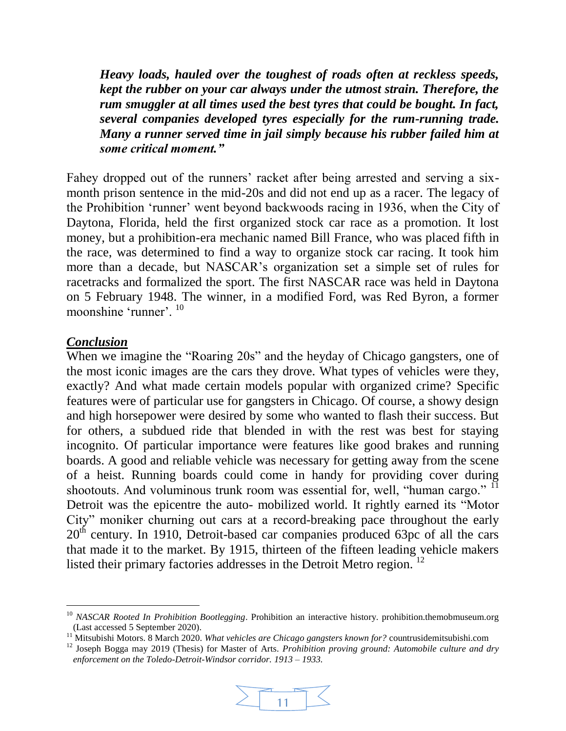*Heavy loads, hauled over the toughest of roads often at reckless speeds, kept the rubber on your car always under the utmost strain. Therefore, the rum smuggler at all times used the best tyres that could be bought. In fact, several companies developed tyres especially for the rum-running trade. Many a runner served time in jail simply because his rubber failed him at some critical moment."*

Fahey dropped out of the runners' racket after being arrested and serving a sixmonth prison sentence in the mid-20s and did not end up as a racer. The legacy of the Prohibition 'runner' went beyond backwoods racing in 1936, when the City of Daytona, Florida, held the first organized stock car race as a promotion. It lost money, but a prohibition-era mechanic named Bill France, who was placed fifth in the race, was determined to find a way to organize stock car racing. It took him more than a decade, but NASCAR's organization set a simple set of rules for racetracks and formalized the sport. The first NASCAR race was held in Daytona on 5 February 1948. The winner, in a modified Ford, was Red Byron, a former moonshine 'runner'. <sup>10</sup>

#### *Conclusion*

l

When we imagine the "Roaring 20s" and the heyday of Chicago gangsters, one of the most iconic images are the cars they drove. What types of vehicles were they, exactly? And what made certain models popular with organized crime? Specific features were of particular use for gangsters in Chicago. Of course, a showy design and high horsepower were desired by some who wanted to flash their success. But for others, a subdued ride that blended in with the rest was best for staying incognito. Of particular importance were features like good brakes and running boards. A good and reliable vehicle was necessary for getting away from the scene of a heist. Running boards could come in handy for providing cover during shootouts. And voluminous trunk room was essential for, well, "human cargo." <sup>11</sup> Detroit was the epicentre the auto- mobilized world. It rightly earned its "Motor City" moniker churning out cars at a record-breaking pace throughout the early  $20<sup>th</sup>$  century. In 1910, Detroit-based car companies produced 63pc of all the cars that made it to the market. By 1915, thirteen of the fifteen leading vehicle makers listed their primary factories addresses in the Detroit Metro region. <sup>12</sup>

<sup>&</sup>lt;sup>12</sup> Joseph Bogga may 2019 (Thesis) for Master of Arts. *Prohibition proving ground: Automobile culture and dry enforcement on the Toledo-Detroit-Windsor corridor. 1913 – 1933.*



<sup>&</sup>lt;sup>10</sup> *NASCAR Rooted In Prohibition Bootlegging*. Prohibition an interactive history. prohibition.themobmuseum.org (Last accessed 5 September 2020).

<sup>11</sup> Mitsubishi Motors. 8 March 2020. *What vehicles are Chicago gangsters known for?* countrusidemitsubishi.com